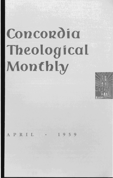# **Concordia Theological Monthly**



PRIL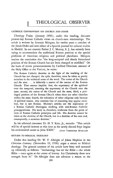## **THEOLOGICAL OBSERVER**

#### CATHOLIC CONTROVERSY ON CHURCH AND STATE

*Theology Today* (January 1959), under this heading, discusses present-day Roman Catholic views on church-state relationships. The article is written by Antonio Marquez, for twelve years a member of the Jesuit Order and now editor of a Spanish journal for cultural studies in Madrid. In our country Father J. c. Murray, S. J., has recently been trying to accommodate the traditional Roman position to the special problems of American religious and political pluralisms. Márquez reaches the conclusion that "the long-accepted and clearly formulated position of the Roman Church has not been changed or modified." On the basis of recent pronouncements by Cardinal Ottaviani, assessor of the Holy Office at the Vatican, he states:

The Roman Catholic doctrine in the light of the teaching of the Church has not changed; the split, therefore, must be taken as purely sectarian in the technical sense of the word. The union of the Church and the state ... is definitely a matter of the essence of the Roman Church. That essence implies: first, the supremacy of the spiritual over the temporal, meaning the supremacy of the Church over the state; second, the union of the Church and the state; third, a privileged position of the Roman Church when there are other churches within the state; fourth, the toleration of other religions only because of political reason. Any contrary line of reasoning may appear excellent, but is not Roman. Murray's articles are the expression of a Roman Catholic theologian working with non-Roman Catholic presuppositions. His study is, therefore, irrelevant from the point of view of Roman Catholic principles and life. His doctrine cannot be taken as the doctrine of the Church, but is a doctrine of his own and, consequently, a sectarian doctrine."

**In** his editorial comment Dr. H. T. Kerr, Jr., remarks: "This article will be of special interest at this time as the newly elected Pope begins his ecclesiastical career as John XXIII." JOHN THEODORE MUELLER

#### RETURN TO BIBLICAL THEOLOGY

Under this heading Dr. W. F. Albright of Johns Hopkins in the *Christian Century* (November 19, 1958) urges a return to Biblical theology. The general contents of the article have been well summed up editorially as follows: "Archaeology has set the Bible-the whole Bible - once again at the center of history. Let Christianity draw new strength from it!" Dr. Albright does not advocate a return to the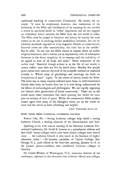traditional teaching of conservative Christianity. He writes, for example: "It must be emphasized, however, that vindication of the historicity of the Bible and clarification of its meaning do not involve a return to uncritical belief in 'verbal' inspiration and do not support an 'orthodoxy' which insulates the Bible from the real world of today. The Bible must be judged as literature and history by exactly the same canons as we use in studying similar nonbiblical literature, but not by arbitrary standards imposed on it by dogmatic liberals or conservatives, Extreme views are alike unsatisfactory; the truth lies in the middle." But he adds: "In any case the Bible towers in content above all earlier religious literature; and it towers just as impressively over all subsequent literature in the direct simplicity of its message and the catholicity of its appeal to men of all lands and times." Other statements of the author read: "Essential though science is in the life of our world, it cannot suffice: man does not live by bread alone. Besides, few people quite realize how insecure the hold of the scientific method on mankind actually is. Whole areas of psychology and sociology are built on foundations of sand." Again: "In the center of history stands the Bible. The latter has in many respects suffered more from its well-intentioned friends than from its honest foes, but it is now being rediscovered by the labors of archaeologists and philologians. Weare rapidly regaining our balance after generations of bitter controversy." There are in the article many other statements that merit quoting, but which we must pass on account of lack of space. While the conservative Bible student cannot agree with many of Dr. Albright's views, yet on the whole he must hail the article as both refreshing and helpful.

JOHN THEODORE MUELLER

#### BRIEF ITEMS FROM NATIONAL LUTHERAN COUNCIL

Kansas City, Mo.-Strong Lutheran colleges help build a strong Lutheran Church, a leading educator of the denomination said here.

Speaking at the 45th annual meeting of the National Lutheran Educational Conference, Dr. Evald B. Lawson in a presidential address said that while "many colleges which once were church colleges have veered away ... the Lutheran Church is very much in the business of higher education today." - Dr. Lawson, president of Upsala College, East Orange, N. J., paid tribute at the three-day meeting, January  $4-6$ , to the pioneer pastor-presidents who established Lutheran colleges in America.

Dr. Gould Wickey of Washington, D.C., executive director of the conference, reported to the educators that Lutheran liberal arts colleges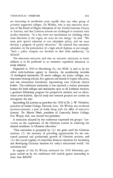#### THEOLOGICAL OBSERVER 301

are increasing in enrollment more rapidly than any other group of privately supported colleges. Dr. Wickey, who is also executive secretary of the Board of Higher Education of the United Lutheran Church in America, said that Lutheran schools are challenged to maintain their quality education. "In a day when our enrollments are climbing, when mass education is the vogue, we must do two things," he said. "We must give special attention to our admission policy, and we must develop a program of quality education." He asserted that automatic admission on the presentation of a high school diploma is not enough. "Such a policy compels our faculties to deal with mediocrity," he declared.

The education executive said that an intensive education in fewer subjects is to be preferred to an extensive superficial education in many subjects.

Organized in 19lO at Harrisburg, Fa., the NLEC is said to be the oldest inter-Lutheran agency in America. Its membership includes 18 theological seminaries, 29 senior colleges, six junior colleges, two deaconess training schools, five agencies and boards of higher education, and one educational foundation, representing nine Lutheran church bodies. The conference maintains, it was reported, a teacher placement bureau for both colleges and seminaries open to all Lutheran teachers, a graduate fellowship program for prospective teachers, and an educational news bulletin. Special study and research projects are carried on throughout the year.

Succeeding Dr. Lawson as president for 1959 is Dr. J. W. Ylvisaker, president of Luther College, Decorah, Iowa. Dr. Wickey was re-elected secretary-treasurer, a post he holds along with the office of executive director. Dr. Martin Neeb, president of Concordia Senior College, Fort Wayne, Ind., was elected vice-president.

A resolution adopted by the conference expressed the group's "conviction on the importance of the Christian teacher in achieving the desired excellence in Christian education."

"This conviction is prompted by (1) the great need for Christian teachers, (2) the necessity of providing opportunities for the continued personal and professional growth of Christian teachers, and ( 3) the crucial urgency of immediate financial resources for increasing and developing Christian faculties for today's educational world," the resolution said.

In support of this Dr. Wickey estimated the 1959 fellowship program carried on by the conference will include grants amounting to more than \$40,000.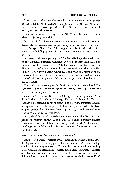The Lutheran educators also attended the first annual meeting here of the Council of Protestant Colleges and Universities, of which Dr. Clemens Granskou, president of St. Olaf College at Northfield, Minn., was elected secretary.

Next year's annual meeting of the NLEC is to be held in Boston, Mass., on January 10 and II.

*Newport, R.I.* - First Lutheran Church here will join with the Lutheran Service Commission in providing a service center for sailors at the Newport Naval Base. The program will begin when the initial phase of a building project is completed sometime in the summer of 1959.

A survey conducted a year ago by Miss Berdella Sheggeby, fieldworker of the National Lutheran Council's Division of American Missions, showed that there were some 1,200 Lutherans in the Newport area. The majority of these were military personnel and their families. In July 1956 Navy Chaplain Oliver K. Olson, who is a member of the Evangelical Lutheran Church, alerted the LSC to the need for some type of off-base program at this second largest naval installation on the East Coast.

The LSC, a joint agency of the National Lutheran Council and The Lutheran Church-Missouri Synod, maintains some 38 centers for servicemen throughout the world.

*New York.-Bishop* Eivind Josef Berggrav, former primate of the State Lutheran Church of Norway, died at his home in Oslo on January 14, according to word received at National Lutheran Council headquarters here. The 74-year-old churchman, who headed the Norwegian Church for 14 years, from 1937 to 1951, had suffered from a heart condition for several years.

As spiritual leader of the resistance movement to the German occupation of Norway during World War II, Bishop Berggrav became known as "a symbol of free Christianity in the world." His stalwart stand against the Nazis led to his imprisonment for three years, from 1942 to 1945.

### BRIEF ITEMS FROM "RELIGIOUS NEWS SERVICE"

*Bonn.* - A pamphlet written by Dr. Karl Barth of Basel, noted Swiss theologian, in which he suggested that East German Protestants adopt a policy of neutrality concerning Communism was assailed by a leading West German Lutheran minister here. Dean Hans Christian Asmussen of Schleswig-Holstein condemned Dr. Barth's position of the church's fight against Communist oppression as "the worst kind of neutralism."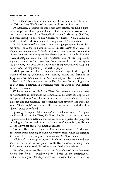"It is difficult to believe in the honesty of this neutralism," he wrote in *Christ and the World,* weekly paper published in Stuttgart.

Dr. Asmussen, a prominent theologian now retired, has held a number of important church posts. These include Lutheran provost of Kiel, Germany, chancellor of the Evangelical Church in Germany (EKID), and membership in the World Council of Churches' Commission on Faith and Order. He is an outspoken opponent of Communism.

Dr. Barth expressed his views in a 45-page pamphlet issued last November by a church house in Basel. Entitled *Letter to a Pastor in the German Democratic Republic,* it was written in answer to a series of questions sent to him by an East German pastor. In the booklet the Swiss theologian wrote that the "American way of life" represents a greater danger to Christians than Communism. He said that trying "to pray away" the East German Communist regime required accepting before God the responsibility for such a prayer.

"Might you not fear that **He** might grant your prayer in the frightful fashion of letting you awake one morning among the fleshpots of Egypt as a man bounden to the American way of life?" he asked.

Professor Barth also wrote that the East Germans had nothing worse to fear than "liberation in accordance with the ideas of (Chancellor Konrad) Adenauer."

While he denounced life in the West, the theologian did not express any admiration for life under the Communists. He described oppression and persecution as "useful sources" to purify the church of its complacency and self-assurance. He contended that adversity and suffering were "God's tools" with which He bestows salvation and that His "blows" must be endured.

Speaking of "open totalitarianism" in East Germany and "creeping totalitarianism" in the West, Dr. Barth implied that the latter was a greater evil. Some German churchmen have interpreted the pamphlet as being a plea for ending all resistance to Communism, while not urging active support of Communist leaders.

Professor Barth was a leader of Protestant resistance to Hitler and the Nazis while teaching at Bonn University, from which he resigned in 1934. He left Germany in protest against the Nazi regime.

Officials of the Evangelical Church in Germany have announced that there would be no formal protest to Dr. Barth's views, although they had aroused widespread discussion among leading churchmen.

*Northfield, Minn.* - Plans for a new "church arts" magazine were drawn here by a lO-member editorial board of the intersynodical Lutheran Society for Worship, Music, and the Arts. The board, meeting